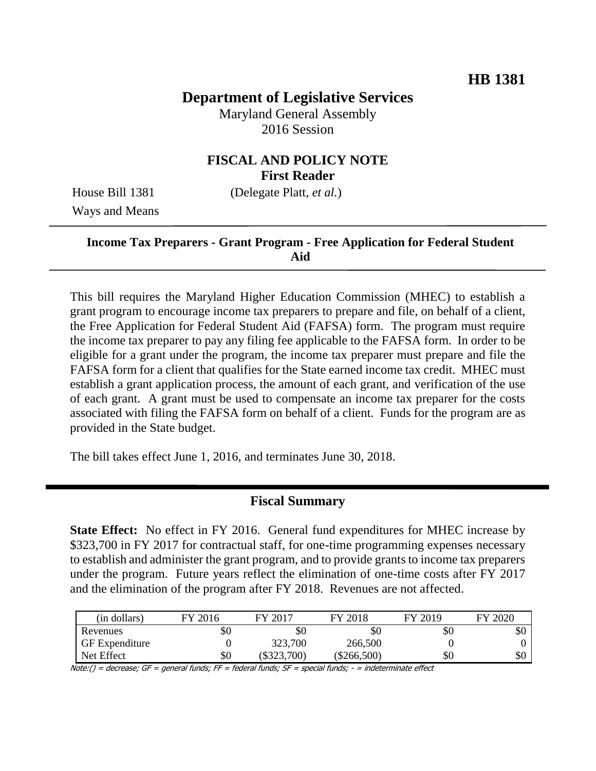# **Department of Legislative Services**

Maryland General Assembly 2016 Session

### **FISCAL AND POLICY NOTE First Reader**

Ways and Means

House Bill 1381 (Delegate Platt, *et al.*)

### **Income Tax Preparers - Grant Program - Free Application for Federal Student Aid**

This bill requires the Maryland Higher Education Commission (MHEC) to establish a grant program to encourage income tax preparers to prepare and file, on behalf of a client, the Free Application for Federal Student Aid (FAFSA) form. The program must require the income tax preparer to pay any filing fee applicable to the FAFSA form. In order to be eligible for a grant under the program, the income tax preparer must prepare and file the FAFSA form for a client that qualifies for the State earned income tax credit. MHEC must establish a grant application process, the amount of each grant, and verification of the use of each grant. A grant must be used to compensate an income tax preparer for the costs associated with filing the FAFSA form on behalf of a client. Funds for the program are as provided in the State budget.

The bill takes effect June 1, 2016, and terminates June 30, 2018.

### **Fiscal Summary**

**State Effect:** No effect in FY 2016. General fund expenditures for MHEC increase by \$323,700 in FY 2017 for contractual staff, for one-time programming expenses necessary to establish and administer the grant program, and to provide grants to income tax preparers under the program. Future years reflect the elimination of one-time costs after FY 2017 and the elimination of the program after FY 2018. Revenues are not affected.

| (in dollars)          | FY 2016 | FY 2017   | FY 2018   | FY 2019 | FY 2020 |
|-----------------------|---------|-----------|-----------|---------|---------|
| Revenues              | \$0     | \$0       | \$0       | \$0     | эU      |
| <b>GF</b> Expenditure |         | 323,700   | 266,500   |         |         |
| Net Effect            | \$0     | \$323,700 | \$266,500 | \$0     | ΦU      |

Note:() = decrease; GF = general funds; FF = federal funds; SF = special funds; - = indeterminate effect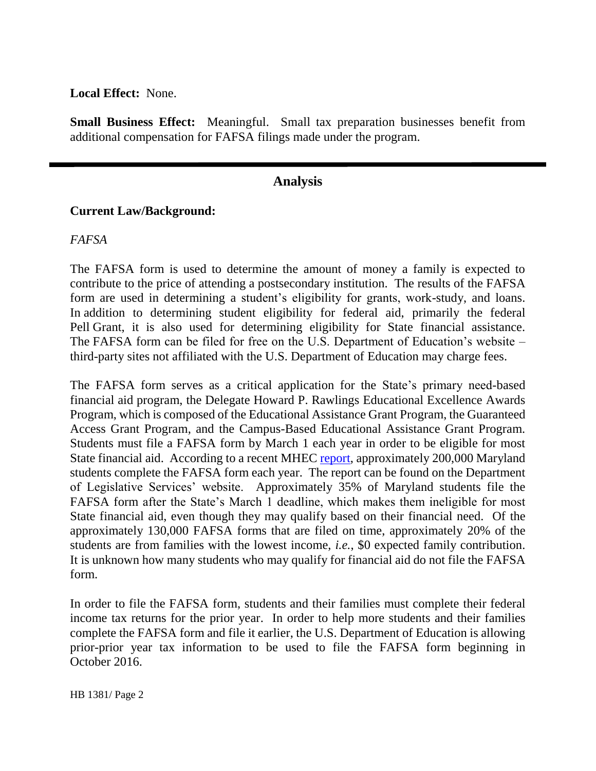#### **Local Effect:** None.

**Small Business Effect:** Meaningful. Small tax preparation businesses benefit from additional compensation for FAFSA filings made under the program.

### **Analysis**

#### **Current Law/Background:**

#### *FAFSA*

The FAFSA form is used to determine the amount of money a family is expected to contribute to the price of attending a postsecondary institution. The results of the FAFSA form are used in determining a student's eligibility for grants, work-study, and loans. In addition to determining student eligibility for federal aid, primarily the federal Pell Grant, it is also used for determining eligibility for State financial assistance. The FAFSA form can be filed for free on the U.S. Department of Education's website – third-party sites not affiliated with the U.S. Department of Education may charge fees.

The FAFSA form serves as a critical application for the State's primary need-based financial aid program, the Delegate Howard P. Rawlings Educational Excellence Awards Program, which is composed of the Educational Assistance Grant Program, the Guaranteed Access Grant Program, and the Campus-Based Educational Assistance Grant Program. Students must file a FAFSA form by March 1 each year in order to be eligible for most State financial aid. According to a recent MHEC [report,](http://dlslibrary.state.md.us/publications/jcr/2015/2015_121-122.pdf) approximately 200,000 Maryland students complete the FAFSA form each year. The report can be found on the Department of Legislative Services' website. Approximately 35% of Maryland students file the FAFSA form after the State's March 1 deadline, which makes them ineligible for most State financial aid, even though they may qualify based on their financial need. Of the approximately 130,000 FAFSA forms that are filed on time, approximately 20% of the students are from families with the lowest income, *i.e.*, \$0 expected family contribution. It is unknown how many students who may qualify for financial aid do not file the FAFSA form.

In order to file the FAFSA form, students and their families must complete their federal income tax returns for the prior year. In order to help more students and their families complete the FAFSA form and file it earlier, the U.S. Department of Education is allowing prior-prior year tax information to be used to file the FAFSA form beginning in October 2016.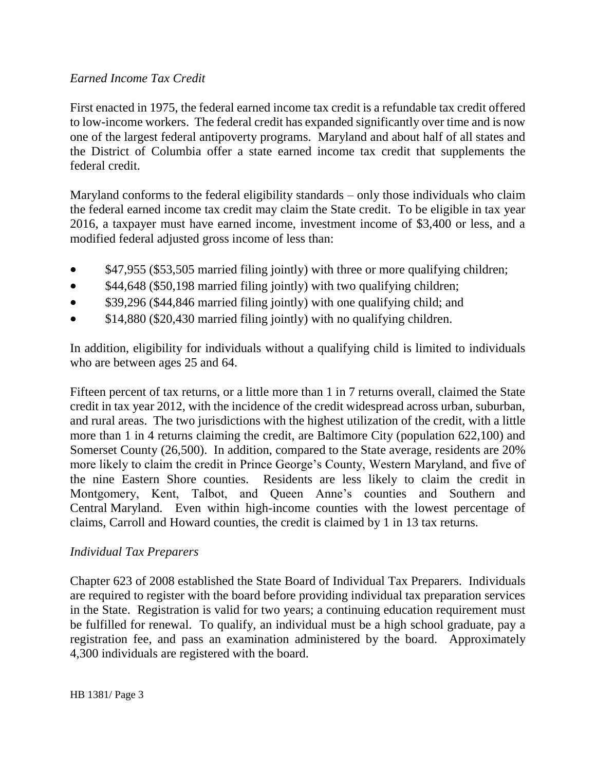### *Earned Income Tax Credit*

First enacted in 1975, the federal earned income tax credit is a refundable tax credit offered to low-income workers. The federal credit has expanded significantly over time and is now one of the largest federal antipoverty programs. Maryland and about half of all states and the District of Columbia offer a state earned income tax credit that supplements the federal credit.

Maryland conforms to the federal eligibility standards – only those individuals who claim the federal earned income tax credit may claim the State credit. To be eligible in tax year 2016, a taxpayer must have earned income, investment income of \$3,400 or less, and a modified federal adjusted gross income of less than:

- \$47,955 (\$53,505 married filing jointly) with three or more qualifying children;
- \$44,648 (\$50,198 married filing jointly) with two qualifying children;
- \$39,296 (\$44,846 married filing jointly) with one qualifying child; and
- $\bullet$  \$14,880 (\$20,430 married filing jointly) with no qualifying children.

In addition, eligibility for individuals without a qualifying child is limited to individuals who are between ages 25 and 64.

Fifteen percent of tax returns, or a little more than 1 in 7 returns overall, claimed the State credit in tax year 2012, with the incidence of the credit widespread across urban, suburban, and rural areas. The two jurisdictions with the highest utilization of the credit, with a little more than 1 in 4 returns claiming the credit, are Baltimore City (population 622,100) and Somerset County (26,500). In addition, compared to the State average, residents are 20% more likely to claim the credit in Prince George's County, Western Maryland, and five of the nine Eastern Shore counties. Residents are less likely to claim the credit in Montgomery, Kent, Talbot, and Queen Anne's counties and Southern and Central Maryland. Even within high-income counties with the lowest percentage of claims, Carroll and Howard counties, the credit is claimed by 1 in 13 tax returns.

### *Individual Tax Preparers*

Chapter 623 of 2008 established the State Board of Individual Tax Preparers. Individuals are required to register with the board before providing individual tax preparation services in the State. Registration is valid for two years; a continuing education requirement must be fulfilled for renewal. To qualify, an individual must be a high school graduate, pay a registration fee, and pass an examination administered by the board. Approximately 4,300 individuals are registered with the board.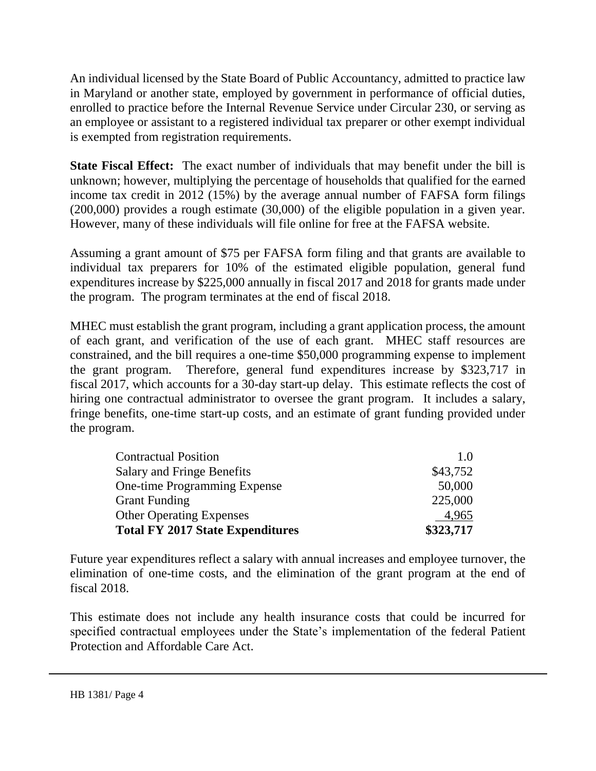An individual licensed by the State Board of Public Accountancy, admitted to practice law in Maryland or another state, employed by government in performance of official duties, enrolled to practice before the Internal Revenue Service under Circular 230, or serving as an employee or assistant to a registered individual tax preparer or other exempt individual is exempted from registration requirements.

**State Fiscal Effect:** The exact number of individuals that may benefit under the bill is unknown; however, multiplying the percentage of households that qualified for the earned income tax credit in 2012 (15%) by the average annual number of FAFSA form filings (200,000) provides a rough estimate (30,000) of the eligible population in a given year. However, many of these individuals will file online for free at the FAFSA website.

Assuming a grant amount of \$75 per FAFSA form filing and that grants are available to individual tax preparers for 10% of the estimated eligible population, general fund expenditures increase by \$225,000 annually in fiscal 2017 and 2018 for grants made under the program. The program terminates at the end of fiscal 2018.

MHEC must establish the grant program, including a grant application process, the amount of each grant, and verification of the use of each grant. MHEC staff resources are constrained, and the bill requires a one-time \$50,000 programming expense to implement the grant program. Therefore, general fund expenditures increase by \$323,717 in fiscal 2017, which accounts for a 30-day start-up delay. This estimate reflects the cost of hiring one contractual administrator to oversee the grant program. It includes a salary, fringe benefits, one-time start-up costs, and an estimate of grant funding provided under the program.

| <b>Contractual Position</b>             | 1.0       |
|-----------------------------------------|-----------|
| <b>Salary and Fringe Benefits</b>       | \$43,752  |
| One-time Programming Expense            | 50,000    |
| <b>Grant Funding</b>                    | 225,000   |
| <b>Other Operating Expenses</b>         | 4,965     |
| <b>Total FY 2017 State Expenditures</b> | \$323,717 |

Future year expenditures reflect a salary with annual increases and employee turnover, the elimination of one-time costs, and the elimination of the grant program at the end of fiscal 2018.

This estimate does not include any health insurance costs that could be incurred for specified contractual employees under the State's implementation of the federal Patient Protection and Affordable Care Act.